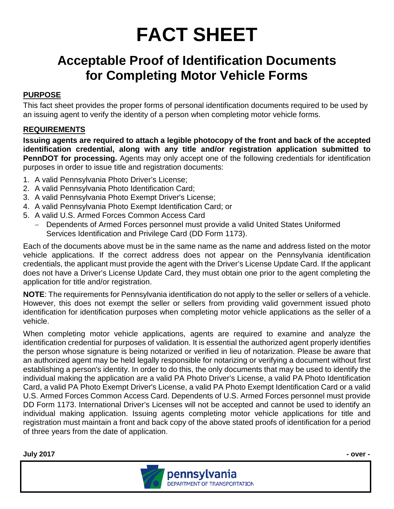## **FACT SHEET**

## **Acceptable Proof of Identification Documents for Completing Motor Vehicle Forms**

## **PURPOSE**

This fact sheet provides the proper forms of personal identification documents required to be used by an issuing agent to verify the identity of a person when completing motor vehicle forms.

## **REQUIREMENTS**

**Issuing agents are required to attach a legible photocopy of the front and back of the accepted identification credential, along with any title and/or registration application submitted to PennDOT for processing.** Agents may only accept one of the following credentials for identification purposes in order to issue title and registration documents:

- 1. A valid Pennsylvania Photo Driver's License;
- 2. A valid Pennsylvania Photo Identification Card;
- 3. A valid Pennsylvania Photo Exempt Driver's License;
- 4. A valid Pennsylvania Photo Exempt Identification Card; or
- 5. A valid U.S. Armed Forces Common Access Card
	- − Dependents of Armed Forces personnel must provide a valid United States Uniformed Services Identification and Privilege Card (DD Form 1173).

Each of the documents above must be in the same name as the name and address listed on the motor vehicle applications. If the correct address does not appear on the Pennsylvania identification credentials, the applicant must provide the agent with the Driver's License Update Card. If the applicant does not have a Driver's License Update Card, they must obtain one prior to the agent completing the application for title and/or registration.

**NOTE**: The requirements for Pennsylvania identification do not apply to the seller or sellers of a vehicle. However, this does not exempt the seller or sellers from providing valid government issued photo identification for identification purposes when completing motor vehicle applications as the seller of a vehicle.

When completing motor vehicle applications, agents are required to examine and analyze the identification credential for purposes of validation. It is essential the authorized agent properly identifies the person whose signature is being notarized or verified in lieu of notarization. Please be aware that an authorized agent may be held legally responsible for notarizing or verifying a document without first establishing a person's identity. In order to do this, the only documents that may be used to identify the individual making the application are a valid PA Photo Driver's License, a valid PA Photo Identification Card, a valid PA Photo Exempt Driver's License, a valid PA Photo Exempt Identification Card or a valid U.S. Armed Forces Common Access Card. Dependents of U.S. Armed Forces personnel must provide DD Form 1173. International Driver's Licenses will not be accepted and cannot be used to identify an individual making application. Issuing agents completing motor vehicle applications for title and registration must maintain a front and back copy of the above stated proofs of identification for a period of three years from the date of application.

**July 2017 - over -**